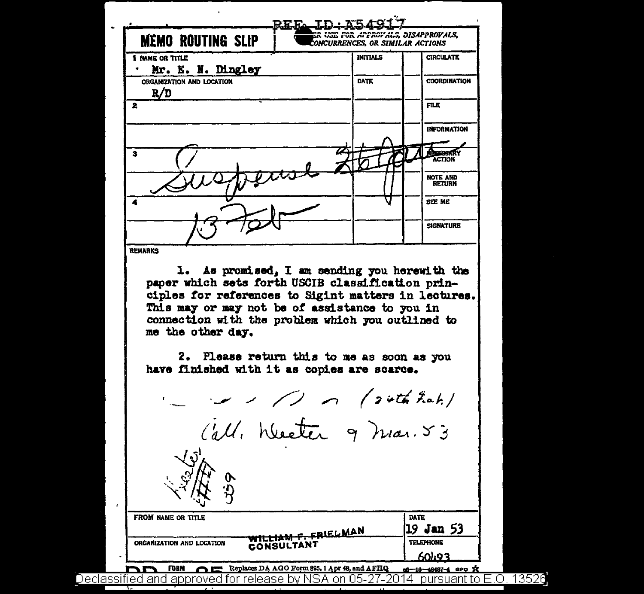| <b>MÉMO ROUTING SLIP</b>                                                                                                                                      | REFAILDINAS<br>ER USE FOR APPROYALS, DISAPPROVALS,<br>CONCURRENCES, OR SIMILAR ACTIONS |                               |
|---------------------------------------------------------------------------------------------------------------------------------------------------------------|----------------------------------------------------------------------------------------|-------------------------------|
| 1 NAME OR TITLE                                                                                                                                               | <b>INITIALS</b>                                                                        | <b>CIRCULATE</b>              |
| Mr. E. N. Dingley                                                                                                                                             |                                                                                        |                               |
| ORGANIZATION AND LOCATION<br>R/D                                                                                                                              | <b>DATE</b>                                                                            | <b>COORDINATION</b>           |
| 2                                                                                                                                                             |                                                                                        | <b>FILE</b>                   |
|                                                                                                                                                               |                                                                                        | <b>INFORMATION</b>            |
| з                                                                                                                                                             |                                                                                        | <b>ACTION</b>                 |
|                                                                                                                                                               |                                                                                        | <b>NOTE AND<br/>RETURN</b>    |
| 4                                                                                                                                                             |                                                                                        | <b>SEE ME</b>                 |
|                                                                                                                                                               |                                                                                        | <b>SIGNATURE</b>              |
|                                                                                                                                                               |                                                                                        |                               |
| As promised, I am sending you herewith the<br>ı.<br>paper which sets forth USCIB classification prin-<br>ciples for references to Sigint matters in lectures. |                                                                                        |                               |
| This may or may not be of assistance to you in<br>connection with the problem which you outlined to<br>me the other day.                                      |                                                                                        |                               |
| 2. Please return this to me as soon as you<br>have finished with it as copies are scarce.                                                                     |                                                                                        |                               |
|                                                                                                                                                               | $\sqrt{2}$ or (24th fact.)                                                             |                               |
|                                                                                                                                                               |                                                                                        |                               |
| Call, Wester 9 mar. 53<br>$\sqrt{\mathfrak{d}}$ .                                                                                                             |                                                                                        |                               |
| <b>FROM NAME OR TITLE</b>                                                                                                                                     |                                                                                        | <b>DATE</b>                   |
| WILLIAM F. FRIELMAN<br>ORGANIZATION AND LOCATION<br>CONSULTANT                                                                                                |                                                                                        | 19 Jan 53<br><b>TELEPHONE</b> |

Declassified and approved for release by NSA on 05-27-2014 pursuant to E.O. 13526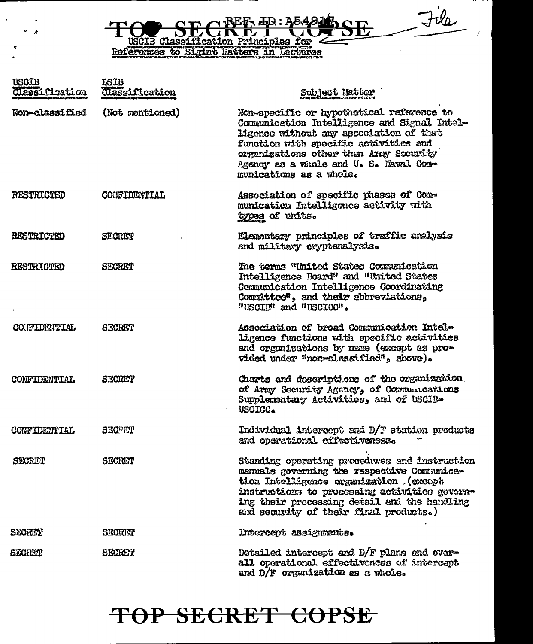File R USCIE Classification Principles for

| <b>USCIB</b><br>Classification | <b>ISIB</b><br>Classification | Subject Matter                                                                                                                                                                                                                                                                               |
|--------------------------------|-------------------------------|----------------------------------------------------------------------------------------------------------------------------------------------------------------------------------------------------------------------------------------------------------------------------------------------|
| Non-classified                 | (Not mentioned)               | Non-specific or hypothetical reference to<br>Communication Intelligence and Signal Intel-<br>ligence without any association of that<br>function with specific activities and<br>organizations other than Army Security<br>Agency as a whole and U. S. Naval Com-<br>munications as a whole. |
| RESTRICTED                     | <b>CONFIDENTIAL</b>           | Association of specific phases of Com-<br>munication Intelligence activity with<br>types of units.                                                                                                                                                                                           |
| <b>RESTRICTED</b>              | <b>SECRET</b>                 | Elementary principles of traffic analysis<br>and military cryptanalysis.                                                                                                                                                                                                                     |
| <b>RESTRICTED</b>              | <b>SECRET</b>                 | The terms "United States Communication<br>Intelligence Board" and "United States<br>Communication Intelligence Coordinating<br>Committee", and their abbreviations,<br>"USCIB" and "USCICC".                                                                                                 |
| CONFIDENTIAL                   | <b>SECRET</b>                 | Association of broad Communication Intele<br>ligence functions with specific activities<br>and organizations by name (except as pro-<br>vided under "non-classified", above).                                                                                                                |
| <b>CONFIDENTIAL</b>            | <b>SECRET</b>                 | Charts and descriptions of the organization.<br>of Army Security Agency, of Communications<br>Supplementary Activities, and of USCIB-<br>USCICC.                                                                                                                                             |
| <b>CONFIDENTIAL</b>            | <b>SECTIVI</b>                | Individual intercept and D/F station products<br>and operational effectiveness.                                                                                                                                                                                                              |
| <b>SECRET</b>                  | SECRET                        | Standing operating procedures and instruction<br>manuals governing the respective Communica-<br>tion Intelligence organization (except<br>instructions to processing activities govern-<br>ing their processing detail and the handling<br>and security of their final products.)            |
| <b>SECRET</b>                  | SECRET                        | Intercept assignments.                                                                                                                                                                                                                                                                       |
| <b>SECRET</b>                  | SECRET                        | Detailed intercept and D/F plans and over-<br>all operational effectiveness of intercept<br>and D/F organization as a whole.                                                                                                                                                                 |

### TOP SECRET COPSE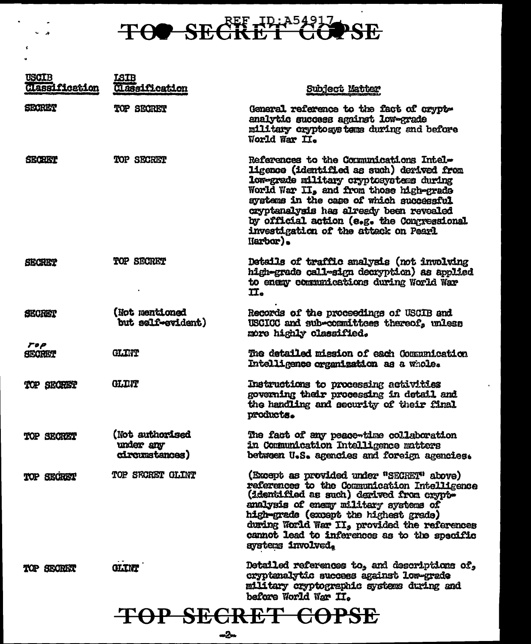# TOO SECRET GOPSE

 $\sim$  $\ddot{\phantom{0}}$ 

 $\langle \pmb{\epsilon} \rangle$  $\ddot{\phantom{0}}$ 

| <b>USCIB</b><br>Classification | <b>LSIB</b><br>Classification                  | Subject Matter                                                                                                                                                                                                                                                                                                                                                       |
|--------------------------------|------------------------------------------------|----------------------------------------------------------------------------------------------------------------------------------------------------------------------------------------------------------------------------------------------------------------------------------------------------------------------------------------------------------------------|
| SECRET                         | TOP SECRET                                     | General reference to the fact of crypt-<br>analytic success against low-grade<br>military cryptosystems during and before<br>World War II.                                                                                                                                                                                                                           |
| <b>SECRITY</b>                 | TOP SECRET                                     | References to the Comunications Intel-<br>ligence (identified as such) derived from<br>low-grade military cryptosystems during<br>World War II, and from those high-grade<br>systems in the case of which successful<br>cryptanalysis has already been revealed<br>by official action (e.g. the Congressional<br>investigation of the attack on Pearl<br>$H$ arbor). |
| <b>SECRET</b>                  | TOP SECRET                                     | Details of traffic analysis (not involving<br>high-grade call-sign decryption) as applied<br>to enemy communications during World War<br>II.                                                                                                                                                                                                                         |
| <b>SECRET</b>                  | (Not mentioned<br>but self-evident)            | Records of the proceedings of USCIB and<br>USCICC and sub-committees thereof, unless<br>more highly classified.                                                                                                                                                                                                                                                      |
| <b>TOP</b><br><b>SECRET</b>    | <b>GLIMP</b>                                   | The datailed mission of each Communication<br>Intelligence organization as a whole.                                                                                                                                                                                                                                                                                  |
| TOP SECREET                    | <b>GLINT</b>                                   | Instructions to processing activities<br>governing their processing in detail and<br>the handling and security of their final<br>products.                                                                                                                                                                                                                           |
| TOP SECRET                     | (Not authorised<br>under any<br>circumstances) | The fact of any peace-time collaboration<br>in Communication Intelligence matters<br>between U.S. agencies and foreign agencies.                                                                                                                                                                                                                                     |
| TOP SECRET                     | TOP SECRET GLINT                               | (Except as provided under "SECRET" above)<br>references to the Communication Intelligence<br>(identified as such) derived from crypt-<br>analysis of enemy military systems of<br>high-grade (except the highest grade)<br>during World War II, provided the references<br>cannot lead to inferences as to the specific<br>systems involved.                         |
| TOP SECRET                     | GLINT                                          | Detailed references to, and descriptions of,<br>cryptenalytic success against low-grade<br>military cryptographic systems during and<br>before World War II.                                                                                                                                                                                                         |
|                                |                                                |                                                                                                                                                                                                                                                                                                                                                                      |

### TOP SECRET COPSE